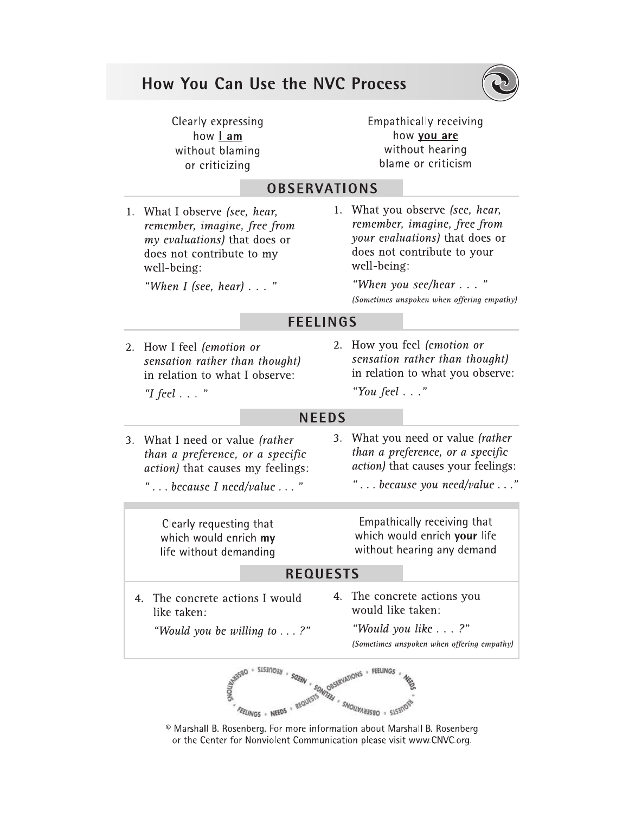# How You Can Use the NVC Process



Clearly expressing how Lam without blaming or criticizing

**Empathically receiving** how you are without hearing blame or criticism

# **OBSERVATIONS**

1. What I observe (see, hear, remember, imagine, free from my evaluations) that does or does not contribute to my well-being:

"When I (see, hear)  $\ldots$  "

1. What you observe (see, hear, remember, imagine, free from your evaluations) that does or does not contribute to your well-being:

> "When you see/hear . . . " (Sometimes unspoken when offering empathy)

# **FEELINGS**

- 2. How I feel (emotion or sensation rather than thought) in relation to what I observe: "I feel  $\ldots$ "
- 2. How you feel (emotion or sensation rather than thought) in relation to what you observe: "You feel . . ."

# **NEEDS**

- 3. What I need or value (rather than a preference, or a specific *action*) that causes my feelings:
	- "...because I need/value..."
- 3. What you need or value (rather than a preference, or a specific *action*) that causes your feelings:

"... because you need/value..."

Clearly requesting that which would enrich my life without demanding

Empathically receiving that which would enrich your life without hearing any demand

# **REQUESTS**

- 4. The concrete actions I would like taken:
- 4. The concrete actions you would like taken:

"Would you be willing to  $\dots$  ?"

"Would you like . . . ?" (Sometimes unspoken when offering empathy)



<sup>©</sup> Marshall B. Rosenberg. For more information about Marshall B. Rosenberg or the Center for Nonviolent Communication please visit www.CNVC.org.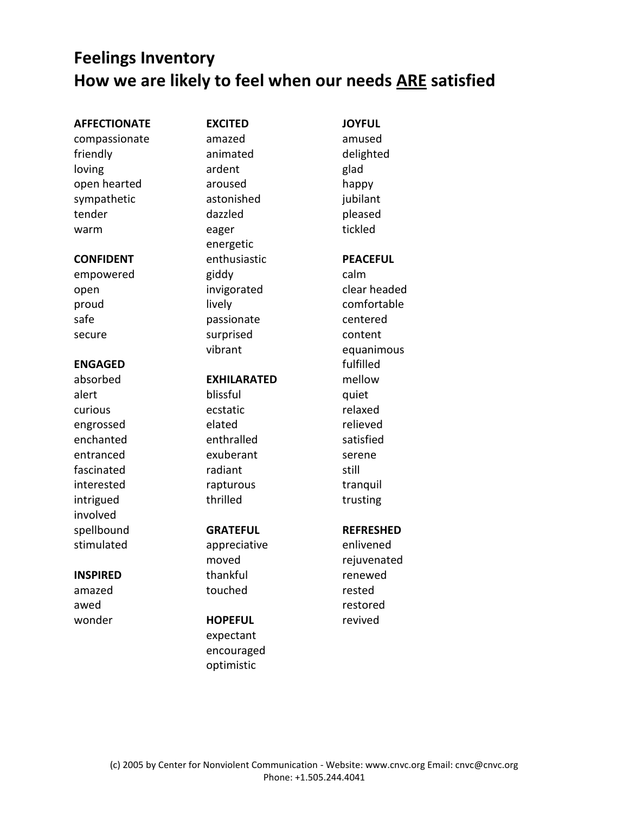# **Feelings Inventory How we are likely to feel when our needs ARE satisfied**

### **AFFECTIONATE**

compassionate friendly loving open hearted sympathetic tender warm

#### **CONFIDENT**

empowered open proud safe secure

# **ENGAGED**

absorbed alert curious engrossed enchanted entranced fascinated interested intrigued involved spellbound stimulated

## **INSPIRED**

amazed awed wonder **EXCITED** amazed animated ardent aroused astonished dazzled eager energetic enthusiastic giddy invigorated lively passionate surprised vibrant

## **EXHILARATED**

blissful ecstatic elated enthralled exuberant radiant rapturous thrilled

# **GRATEFUL**

appreciative moved thankful touched

# **HOPEFUL**

expectant encouraged optimistic

amused delighted glad happy jubilant pleased tickled **PEACEFUL** calm clear headed comfortable centered content equanimous fulfilled mellow quiet relaxed relieved satisfied serene still tranquil trusting

**JOYFUL**

# **REFRESHED**

enlivened rejuvenated renewed rested restored revived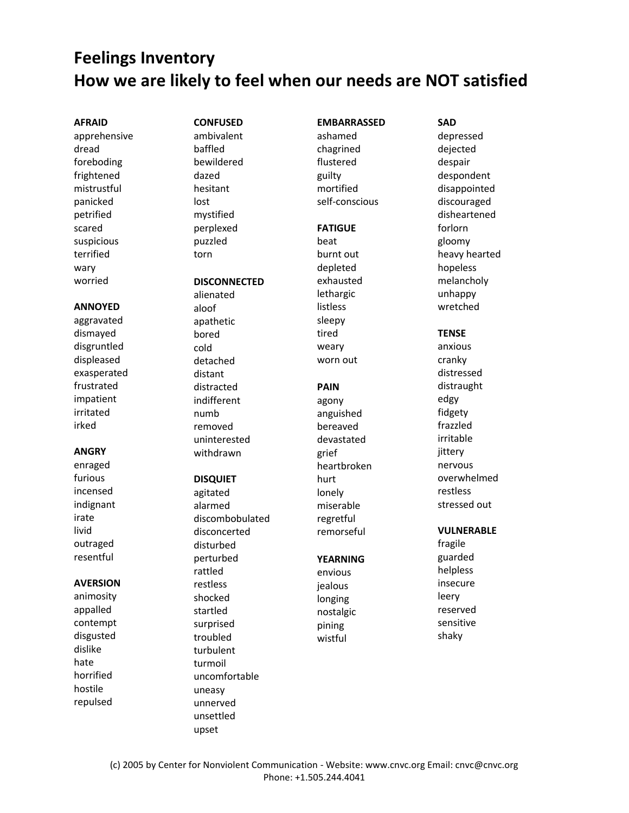# **Feelings Inventory How we are likely to feel when our needs are NOT satisfied**

#### **AFRAID**

apprehensive dread foreboding frightened mistrustful panicked petrified scared suspicious terrified wary worried

#### **ANNOYED**

aggravated dismayed disgruntled displeased exasperated frustrated impatient irritated irked

#### **ANGRY**

enraged furious incensed indignant irate livid outraged resentful

#### **AVERSION**

animosity appalled contempt disgusted dislike hate horrified hostile repulsed

# **CONFUSED** ambivalent baffled bewildered dazed hesitant lost mystified perplexed puzzled torn

## **DISCONNECTED**

alienated aloof apathetic bored cold detached distant distracted indifferent numb removed uninterested withdrawn

#### **DISQUIET**

agitated alarmed discombobulated disconcerted disturbed perturbed rattled restless shocked startled surprised troubled turbulent turmoil uncomfortable uneasy unnerved unsettled upset

#### **EMBARRASSED**

ashamed chagrined flustered guilty mortified self-conscious

#### **FATIGUE**

beat burnt out depleted exhausted lethargic listless sleepy tired weary worn out

#### **PAIN**

agony anguished bereaved devastated grief heartbroken hurt lonely miserable regretful remorseful

#### **YEARNING**

envious jealous longing nostalgic pining wistful

# depressed dejected despair despondent disappointed discouraged disheartened forlorn gloomy heavy hearted hopeless melancholy unhappy wretched **TENSE** anxious cranky distressed distraught edgy fidgety frazzled irritable jittery nervous overwhelmed restless

**SAD**

# **VULNERABLE**

stressed out

fragile guarded helpless insecure leery reserved sensitive shaky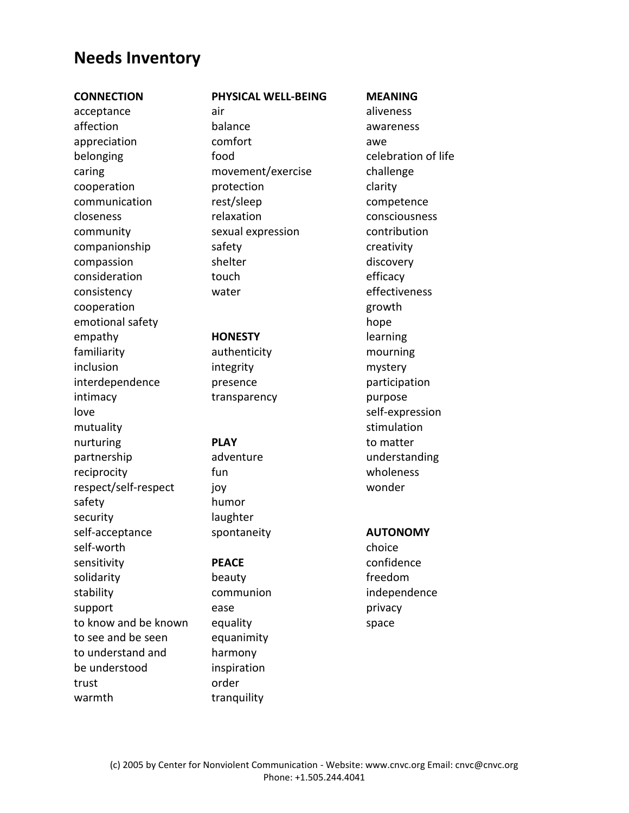# **Needs Inventory**

#### **CONNECTION**

acceptance affection appreciation belonging caring cooperation communication closeness community companionship compassion consideration consistency cooperation emotional safety empathy familiarity inclusion interdependence intimacy love mutuality nurturing partnership reciprocity respect/self-respect safety security self-acceptance self-worth sensitivity solidarity stability support to know and be known to see and be seen to understand and be understood trust warmth

# **PHYSICAL WELL-BEING**

air balance comfort food movement/exercise protection rest/sleep relaxation sexual expression safety shelter touch water

# **HONESTY**

authenticity integrity presence transparency

## **PLAY**

adventure fun joy humor laughter spontaneity

## **PEACE**

beauty communion ease equality equanimity harmony inspiration order tranquility

aliveness awareness awe celebration of life challenge clarity competence consciousness contribution creativity discovery efficacy effectiveness growth hope learning mourning mystery participation purpose self-expression stimulation to matter understanding wholeness wonder

**MEANING**

## **AUTONOMY**

choice confidence freedom independence privacy space